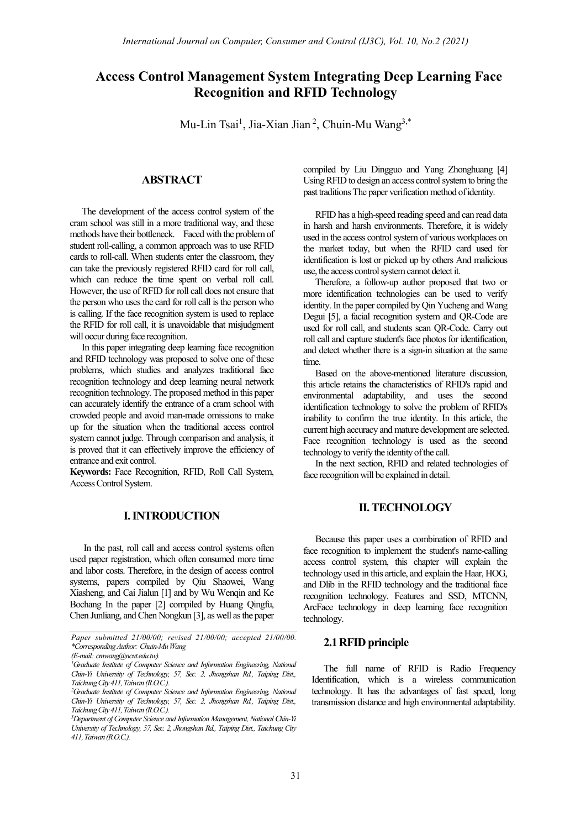# **Access Control Management System Integrating Deep Learning Face Recognition and RFID Technology**

Mu-Lin Tsai<sup>1</sup>, Jia-Xian Jian<sup>2</sup>, Chuin-Mu Wang<sup>3,\*</sup>

## **ABSTRACT**

The development of the access control system of the cram school was still in a more traditional way, and these methods have their bottleneck. Faced with the problem of student roll-calling, a common approach was to use RFID cards to roll-call. When students enter the classroom, they can take the previously registered RFID card for roll call, which can reduce the time spent on verbal roll call. However, the use of RFID for roll call does not ensure that the person who uses the card for roll call is the person who is calling. If the face recognition system is used to replace the RFID for roll call, it is unavoidable that misjudgment will occur during face recognition.

In this paper integrating deep learning face recognition and RFID technology was proposed to solve one of these problems, which studies and analyzes traditional face recognition technology and deep learning neural network recognition technology. The proposed method in this paper can accurately identify the entrance of a cram school with crowded people and avoid man-made omissions to make up for the situation when the traditional access control system cannot judge. Through comparison and analysis, it is proved that it can effectively improve the efficiency of entrance and exit control.

**Keywords:** Face Recognition, RFID, Roll Call System, Access Control System.

## **I. INTRODUCTION**

In the past, roll call and access control systems often used paper registration, which often consumed more time and labor costs. Therefore, in the design of access control systems, papers compiled by Qiu Shaowei, Wang Xiasheng, and Cai Jialun [1] and by Wu Wenqin and Ke Bochang In the paper [2] compiled by Huang Qingfu, Chen Junliang, and Chen Nongkun [3], as well as the paper compiled by Liu Dingguo and Yang Zhonghuang [4] Using RFID to design an access control system to bring the past traditions The paper verification method of identity.

RFID has a high-speed reading speed and can read data in harsh and harsh environments. Therefore, it is widely used in the access control system of various workplaces on the market today, but when the RFID card used for identification is lost or picked up by others And malicious use, the access control system cannot detect it.

Therefore, a follow-up author proposed that two or more identification technologies can be used to verify identity. In the paper compiled by Qin Yucheng and Wang Degui [5], a facial recognition system and QR-Code are used for roll call, and students scan QR-Code. Carry out roll call and capture student's face photos for identification, and detect whether there is a sign-in situation at the same time.

Based on the above-mentioned literature discussion, this article retains the characteristics of RFID's rapid and environmental adaptability, and uses the second identification technology to solve the problem of RFID's inability to confirm the true identity. In this article, the current high accuracy and mature development are selected. Face recognition technology is used as the second technology to verify the identity of the call.

In the next section, RFID and related technologies of face recognition will be explained in detail.

## **II. TECHNOLOGY**

Because this paper uses a combination of RFID and face recognition to implement the student's name-calling access control system, this chapter will explain the technology used in this article, and explain the Haar, HOG, and Dlib in the RFID technology and the traditional face recognition technology. Features and SSD, MTCNN, ArcFace technology in deep learning face recognition technology.

## **2.1RFID principle**

The full name of RFID is Radio Frequency Identification, which is a wireless communication technology. It has the advantages of fast speed, long transmission distance and high environmental adaptability.

*Paper submitted 21/00/00; revised 21/00/00; accepted 21/00/00. \*Corresponding Author: Chuin-Mu Wang*

*<sup>(</sup>E-mail: cmwang@ncut.edu.tw).*

*<sup>1</sup> Graduate Institute of Computer Science and Information Engineering, National Chin-Yi University of Technology, 57, Sec. 2, Jhongshan Rd., Taiping Dist., Taichung City 411, Taiwan (R.O.C.).*

*<sup>2</sup> Graduate Institute of Computer Science and Information Engineering, National Chin-Yi University of Technology, 57, Sec. 2, Jhongshan Rd., Taiping Dist., Taichung City 411, Taiwan (R.O.C.).*

<sup>&</sup>lt;sup>3</sup>Department of Computer Science and Information Management, National Chin-Yi *University of Technology, 57, Sec. 2, Jhongshan Rd., Taiping Dist., Taichung City 411, Taiwan (R.O.C.).*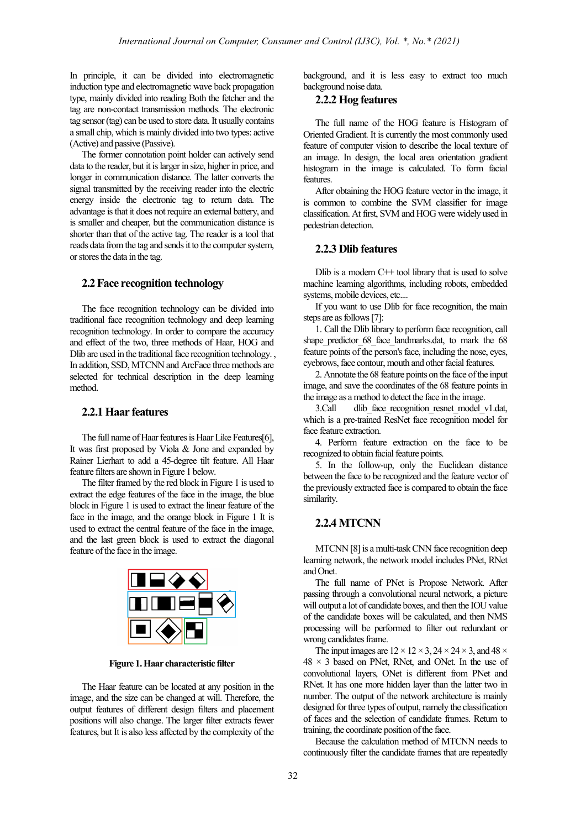In principle, it can be divided into electromagnetic induction type and electromagnetic wave back propagation type, mainly divided into reading Both the fetcher and the tag are non-contact transmission methods. The electronic tag sensor (tag) can be used to store data. It usually contains a small chip, which is mainly divided into two types: active (Active) and passive (Passive).

The former connotation point holder can actively send data to the reader, but it is larger in size, higher in price, and longer in communication distance. The latter converts the signal transmitted by the receiving reader into the electric energy inside the electronic tag to return data. The advantage is that it does not require an external battery, and is smaller and cheaper, but the communication distance is shorter than that of the active tag. The reader is a tool that reads data from the tag and sends it to the computer system, or stores the data in the tag.

#### **2.2Face recognition technology**

The face recognition technology can be divided into traditional face recognition technology and deep learning recognition technology. In order to compare the accuracy and effect of the two, three methods of Haar, HOG and Dlib are used in the traditional face recognition technology. , In addition, SSD, MTCNN and ArcFace three methods are selected for technical description in the deep learning method.

#### **2.2.1 Haar features**

The full name of Haar features is Haar Like Features[6], It was first proposed by Viola & Jone and expanded by Rainer Lierhart to add a 45-degree tilt feature. All Haar feature filters are shown in Figure 1 below.

The filter framed by the red block in Figure 1 is used to extract the edge features of the face in the image, the blue block in Figure 1 is used to extract the linear feature of the face in the image, and the orange block in Figure 1 It is used to extract the central feature of the face in the image, and the last green block is used to extract the diagonal feature of the face in the image.



**Figure 1.Haar characteristic filter**

The Haar feature can be located at any position in the image, and the size can be changed at will. Therefore, the output features of different design filters and placement positions will also change. The larger filter extracts fewer features, but It is also less affected by the complexity of the background, and it is less easy to extract too much background noise data.

#### **2.2.2 Hog features**

The full name of the HOG feature is Histogram of Oriented Gradient. It is currently the most commonly used feature of computer vision to describe the local texture of an image. In design, the local area orientation gradient histogram in the image is calculated. To form facial features.

After obtaining the HOG feature vector in the image, it is common to combine the SVM classifier for image classification. At first, SVM and HOG were widely used in pedestrian detection.

#### **2.2.3 Dlib features**

Dlib is a modern  $C++$  tool library that is used to solve machine learning algorithms, including robots, embedded systems, mobile devices, etc....

If you want to use Dlib for face recognition, the main steps are as follows[7]:

1. Call the Dlib library to perform face recognition, call shape predictor 68 face landmarks.dat, to mark the 68 feature points of the person's face, including the nose, eyes, eyebrows, face contour, mouth and other facial features.

2. Annotate the 68 feature points on the face of the input image, and save the coordinates of the 68 feature points in the image as a method to detect the face in the image.

3.Call dlib face recognition resnet model v1.dat, which is a pre-trained ResNet face recognition model for face feature extraction.

4. Perform feature extraction on the face to be recognized to obtain facial feature points.

5. In the follow-up, only the Euclidean distance between the face to be recognized and the feature vector of the previously extracted face is compared to obtain the face similarity.

## **2.2.4 MTCNN**

MTCNN [8] is a multi-task CNN face recognition deep learning network, the network model includes PNet, RNet and Onet.

The full name of PNet is Propose Network. After passing through a convolutional neural network, a picture will output a lot of candidate boxes, and then the IOU value of the candidate boxes will be calculated, and then NMS processing will be performed to filter out redundant or wrong candidates frame.

The input images are  $12 \times 12 \times 3$ ,  $24 \times 24 \times 3$ , and  $48 \times$  $48 \times 3$  based on PNet, RNet, and ONet. In the use of convolutional layers, ONet is different from PNet and RNet. It has one more hidden layer than the latter two in number. The output of the network architecture is mainly designed for three types of output, namely the classification of faces and the selection of candidate frames. Return to training, the coordinate position of the face.

Because the calculation method of MTCNN needs to continuously filter the candidate frames that are repeatedly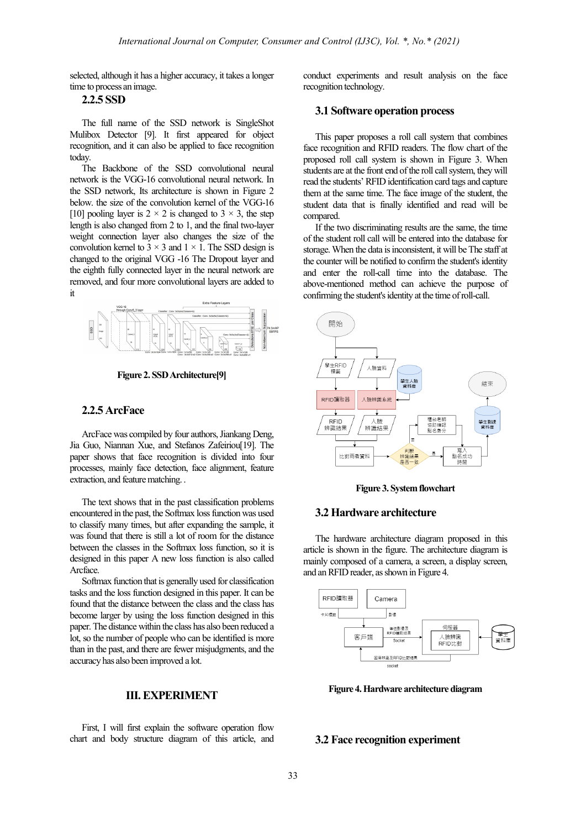selected, although it has a higher accuracy, it takes a longer time to process an image.

### **2.2.5 SSD**

The full name of the SSD network is SingleShot Mulibox Detector [9]. It first appeared for object recognition, and it can also be applied to face recognition today.

The Backbone of the SSD convolutional neural network is the VGG-16 convolutional neural network. In the SSD network, Its architecture is shown in Figure 2 below. the size of the convolution kernel of the VGG-16 [10] pooling layer is  $2 \times 2$  is changed to  $3 \times 3$ , the step length is also changed from 2 to 1, and the final two-layer weight connection layer also changes the size of the convolution kernel to  $3 \times 3$  and  $1 \times 1$ . The SSD design is changed to the original VGG -16 The Dropout layer and the eighth fully connected layer in the neural network are removed, and four more convolutional layers are added to it



**Figure 2. SSDArchitecture[9]**

## **2.2.5 ArcFace**

ArcFace was compiled by four authors, Jiankang Deng, Jia Guo, Niannan Xue, and Stefanos Zafeiriou[19]. The paper shows that face recognition is divided into four processes, mainly face detection, face alignment, feature extraction, and feature matching. .

The text shows that in the past classification problems encountered in the past, the Softmax loss function was used to classify many times, but after expanding the sample, it was found that there is still a lot of room for the distance between the classes in the Softmax loss function, so it is designed in this paper A new loss function is also called Arcface.

Softmax function that is generally used for classification tasks and the loss function designed in this paper. It can be found that the distance between the class and the class has become larger by using the loss function designed in this paper. The distance within the class has also been reduced a lot, so the number of people who can be identified is more than in the past, and there are fewer misjudgments, and the accuracy has also been improved a lot.

#### **III. EXPERIMENT**

First, I will first explain the software operation flow chart and body structure diagram of this article, and conduct experiments and result analysis on the face recognition technology.

#### **3.1 Software operation process**

This paper proposes a roll call system that combines face recognition and RFID readers. The flow chart of the proposed roll call system is shown in Figure 3. When students are at the front end of the roll call system, they will read the students' RFID identification card tags and capture them at the same time. The face image of the student, the student data that is finally identified and read will be compared.

If the two discriminating results are the same, the time of the student roll call will be entered into the database for storage. When the data is inconsistent, it will be The staff at the counter will be notified to confirm the student's identity and enter the roll-call time into the database. The above-mentioned method can achieve the purpose of confirming the student's identity at the time of roll-call.



**Figure 3. System flowchart**

## **3.2 Hardware architecture**

The hardware architecture diagram proposed in this article is shown in the figure. The architecture diagram is mainly composed of a camera, a screen, a display screen, and an RFID reader, as shown in Figure 4.



**Figure 4.Hardware architecture diagram**

#### **3.2 Face recognition experiment**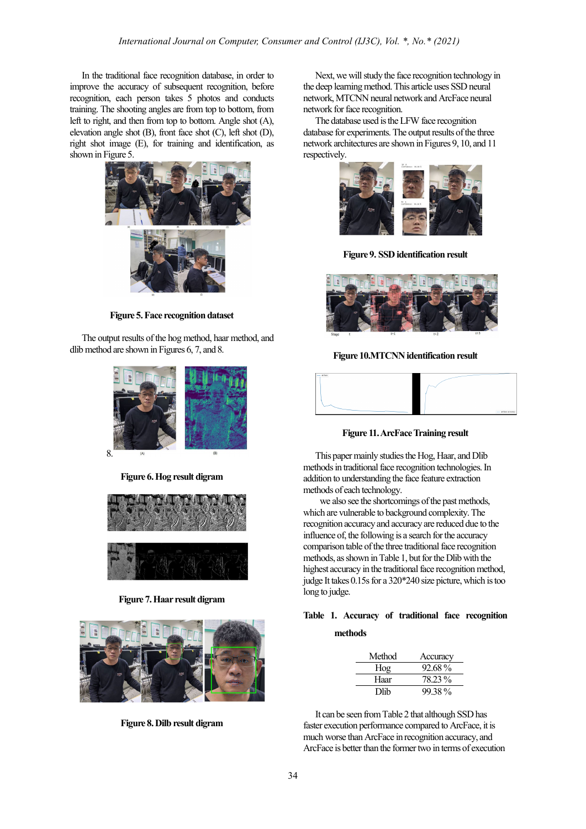In the traditional face recognition database, in order to improve the accuracy of subsequent recognition, before recognition, each person takes 5 photos and conducts training. The shooting angles are from top to bottom, from left to right, and then from top to bottom. Angle shot (A), elevation angle shot (B), front face shot (C), left shot (D), right shot image (E), for training and identification, as shown in Figure 5.



**Figure 5.Face recognition dataset**

The output results of the hog method, haar method, and dlib method are shown in Figures 6, 7, and 8.



**Figure 6.Hog result digram**



**Figure 7.Haar result digram**



**Figure 8.Dilb result digram**

Next, we will study the face recognition technology in the deep learning method. This article uses SSD neural network, MTCNN neural network and ArcFace neural network for face recognition.

The database used is the LFW face recognition database for experiments. The output results of the three network architectures are shown in Figures 9, 10, and 11 respectively.



**Figure 9. SSD identification result**



**Figure 10.MTCNN** identification result



**Figure 11.ArcFace Training result**

This paper mainly studies the Hog, Haar, and Dlib methods in traditional face recognition technologies. In addition to understanding the face feature extraction methods of each technology.

we also see the shortcomings of the past methods, which are vulnerable to background complexity. The recognition accuracy and accuracy are reduced due to the influence of, the following is a search for the accuracy comparison table of the three traditional face recognition methods, as shown in Table 1, but for the Dlib with the highest accuracy in the traditional face recognition method, judge It takes 0.15s for a 320\*240 size picture, which is too long to judge.

## **Table 1. Accuracy of traditional face recognition methods**

| Method | Accuracy |
|--------|----------|
| Hog    | 92.68%   |
| Haar   | 78.23%   |
| Dlib   | 99.38%   |

It can be seen from Table 2 that although SSD has faster execution performance compared to ArcFace, it is much worse than ArcFace in recognition accuracy, and ArcFace is better than the former two in terms of execution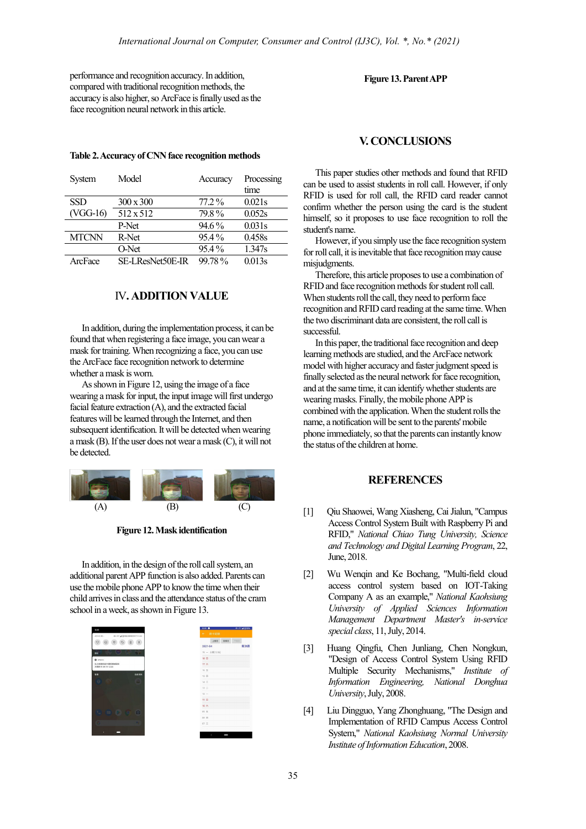performance and recognition accuracy. In addition, compared with traditional recognition methods, the accuracy is also higher, so ArcFace is finally used as the face recognition neural network in this article.

#### **Table 2. Accuracy of CNN face recognition methods**

| System       | Model            | Accuracy | Processing |
|--------------|------------------|----------|------------|
|              |                  |          | time       |
| <b>SSD</b>   | $300 \times 300$ | $77.2\%$ | 0.021s     |
| (VGG-16)     | 512 x 512        | 79.8%    | 0.052s     |
|              | P-Net            | 94.6%    | 0.031s     |
| <b>MTCNN</b> | R-Net            | $95.4\%$ | 0.458s     |
|              | O-Net            | $95.4\%$ | 1.347s     |
| ArcFace      | SE-LResNet50E-IR | 99.78%   | 0.013s     |

## IV**. ADDITION VALUE**

In addition, during the implementation process, it can be found that when registering a face image, you can wear a mask for training. When recognizing a face, you can use the ArcFace face recognition network to determine whether a mask is worn.

As shown in Figure 12, using the image of a face wearing a mask for input, the input image will first undergo facial feature extraction (A), and the extracted facial features will be learned through the Internet, and then subsequent identification. It will be detected when wearing a mask (B). If the user does not wear a mask (C), it will not be detected.



**Figure 12.Mask identification**

In addition, in the design of the roll call system, an additional parent APP function is also added. Parents can use the mobile phone APP to know the time when their child arrives in class and the attendance status of the cram school in a week, as shown in Figure 13.



#### **Figure 13.Parent APP**

### **V. CONCLUSIONS**

This paper studies other methods and found that RFID can be used to assist students in roll call. However, if only RFID is used for roll call, the RFID card reader cannot confirm whether the person using the card is the student himself, so it proposes to use face recognition to roll the student's name.

However, if you simply use the face recognition system for roll call, it is inevitable that face recognition may cause misjudgments.

Therefore, this article proposes to use a combination of RFIDand face recognition methods for student roll call. When students roll the call, they need to perform face recognition and RFID card reading at the same time. When the two discriminant data are consistent, the roll call is successful.

In this paper, the traditional face recognition and deep learning methods are studied, and the ArcFace network model with higher accuracy and faster judgment speed is finally selected as the neural network for face recognition, and at the same time, it can identify whether students are wearing masks. Finally, the mobile phone APP is combined with the application. When the student rolls the name, a notification will be sent to the parents' mobile phone immediately, so that the parents can instantly know the status of the children at home.

## **REFERENCES**

- [1] Qiu Shaowei, Wang Xiasheng, Cai Jialun, "Campus Access Control System Built with Raspberry Pi and RFID," *National Chiao Tung University, Science and Technology and Digital Learning Program*, 22, June, 2018.
- [2] Wu Wenqin and Ke Bochang, "Multi-field cloud access control system based on IOT-Taking Company A as an example," *National Kaohsiung University of Applied Sciences Information Management Department Master's in-service special class*, 11, July, 2014.
- [3] Huang Qingfu, Chen Junliang, Chen Nongkun, "Design of Access Control System Using RFID Multiple Security Mechanisms," *Institute of Information Engineering, National Donghua University*, July, 2008.
- [4] Liu Dingguo, Yang Zhonghuang, "The Design and Implementation of RFID Campus Access Control System," *National Kaohsiung Normal University Institute of Information Education*, 2008.